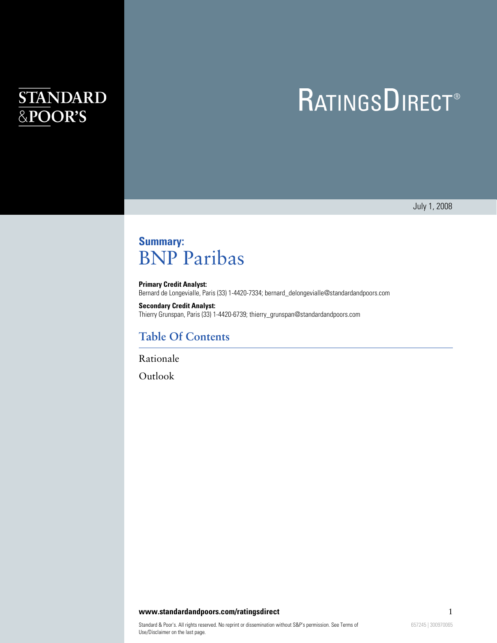# **STANDARD** &POOR'S

# **RATINGSDIRECT®**

July 1, 2008

# **Summary:** BNP Paribas

**Primary Credit Analyst:** Bernard de Longevialle, Paris (33) 1-4420-7334; bernard\_delongevialle@standardandpoors.com

**Secondary Credit Analyst:** Thierry Grunspan, Paris (33) 1-4420-6739; thierry\_grunspan@standardandpoors.com

## **Table Of Contents**

[Rationale](#page-1-0)

[Outlook](#page-2-0)

#### **www.standardandpoors.com/ratingsdirect** 1 1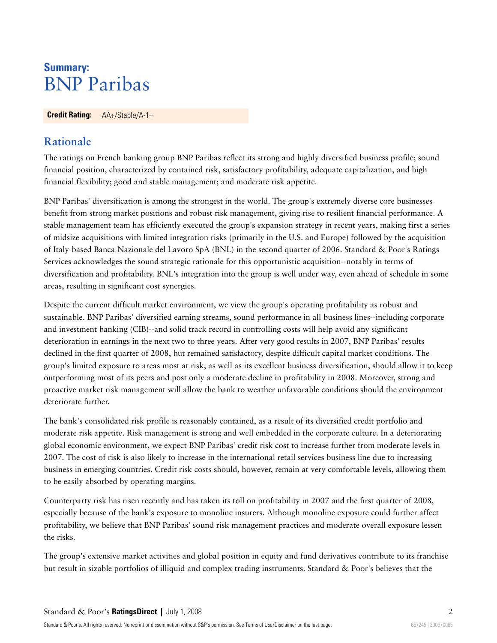## **Summary:** BNP Paribas

<span id="page-1-0"></span>**Credit Rating:** AA+/Stable/A-1+

## **Rationale**

The ratings on French banking group BNP Paribas reflect its strong and highly diversified business profile; sound financial position, characterized by contained risk, satisfactory profitability, adequate capitalization, and high financial flexibility; good and stable management; and moderate risk appetite.

BNP Paribas' diversification is among the strongest in the world. The group's extremely diverse core businesses benefit from strong market positions and robust risk management, giving rise to resilient financial performance. A stable management team has efficiently executed the group's expansion strategy in recent years, making first a series of midsize acquisitions with limited integration risks (primarily in the U.S. and Europe) followed by the acquisition of Italy-based Banca Nazionale del Lavoro SpA (BNL) in the second quarter of 2006. Standard & Poor's Ratings Services acknowledges the sound strategic rationale for this opportunistic acquisition--notably in terms of diversification and profitability. BNL's integration into the group is well under way, even ahead of schedule in some areas, resulting in significant cost synergies.

Despite the current difficult market environment, we view the group's operating profitability as robust and sustainable. BNP Paribas' diversified earning streams, sound performance in all business lines--including corporate and investment banking (CIB)--and solid track record in controlling costs will help avoid any significant deterioration in earnings in the next two to three years. After very good results in 2007, BNP Paribas' results declined in the first quarter of 2008, but remained satisfactory, despite difficult capital market conditions. The group's limited exposure to areas most at risk, as well as its excellent business diversification, should allow it to keep outperforming most of its peers and post only a moderate decline in profitability in 2008. Moreover, strong and proactive market risk management will allow the bank to weather unfavorable conditions should the environment deteriorate further.

The bank's consolidated risk profile is reasonably contained, as a result of its diversified credit portfolio and moderate risk appetite. Risk management is strong and well embedded in the corporate culture. In a deteriorating global economic environment, we expect BNP Paribas' credit risk cost to increase further from moderate levels in 2007. The cost of risk is also likely to increase in the international retail services business line due to increasing business in emerging countries. Credit risk costs should, however, remain at very comfortable levels, allowing them to be easily absorbed by operating margins.

Counterparty risk has risen recently and has taken its toll on profitability in 2007 and the first quarter of 2008, especially because of the bank's exposure to monoline insurers. Although monoline exposure could further affect profitability, we believe that BNP Paribas' sound risk management practices and moderate overall exposure lessen the risks.

The group's extensive market activities and global position in equity and fund derivatives contribute to its franchise but result in sizable portfolios of illiquid and complex trading instruments. Standard & Poor's believes that the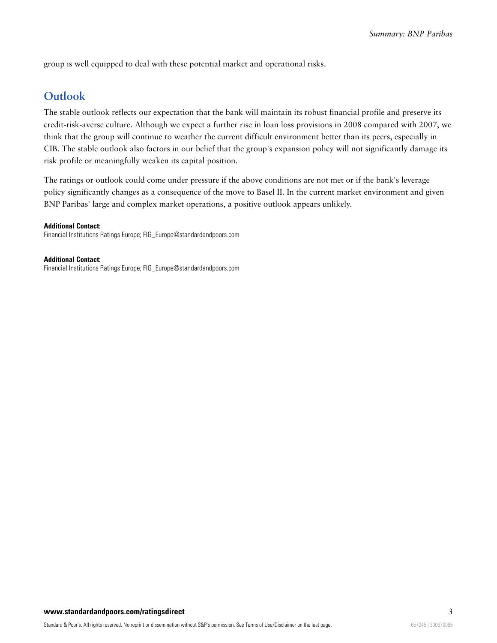<span id="page-2-0"></span>group is well equipped to deal with these potential market and operational risks.

### **Outlook**

The stable outlook reflects our expectation that the bank will maintain its robust financial profile and preserve its credit-risk-averse culture. Although we expect a further rise in loan loss provisions in 2008 compared with 2007, we think that the group will continue to weather the current difficult environment better than its peers, especially in CIB. The stable outlook also factors in our belief that the group's expansion policy will not significantly damage its risk profile or meaningfully weaken its capital position.

The ratings or outlook could come under pressure if the above conditions are not met or if the bank's leverage policy significantly changes as a consequence of the move to Basel II. In the current market environment and given BNP Paribas' large and complex market operations, a positive outlook appears unlikely.

#### **Additional Contact:**

Financial Institutions Ratings Europe; FIG\_Europe@standardandpoors.com

**Additional Contact:** Financial Institutions Ratings Europe; FIG\_Europe@standardandpoors.com